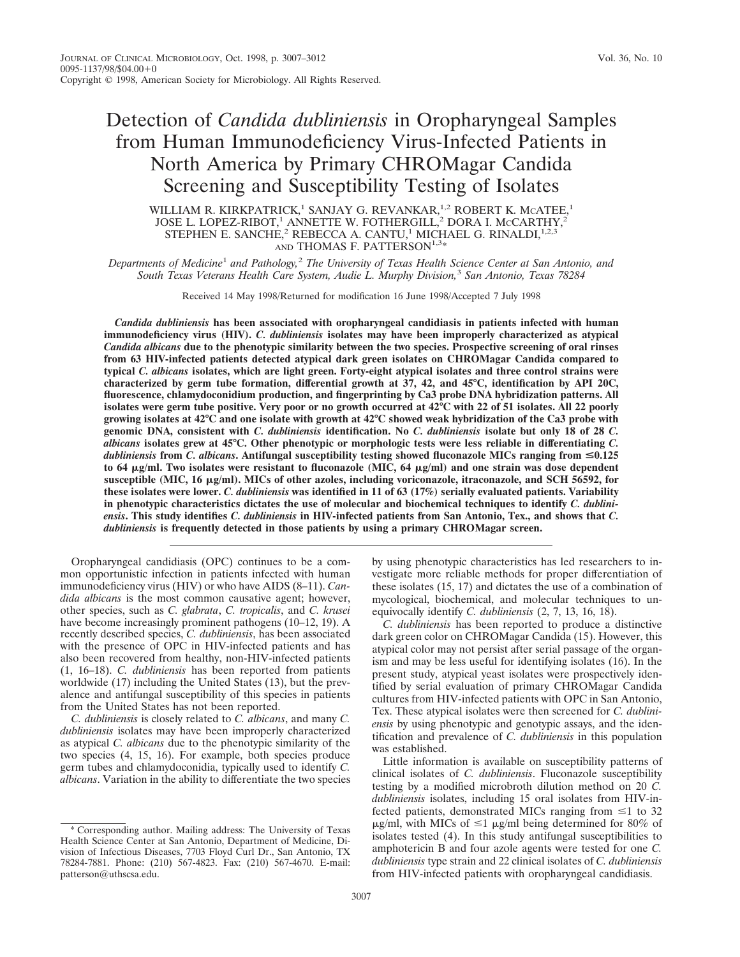# Detection of *Candida dubliniensis* in Oropharyngeal Samples from Human Immunodeficiency Virus-Infected Patients in North America by Primary CHROMagar Candida Screening and Susceptibility Testing of Isolates

WILLIAM R. KIRKPATRICK,<sup>1</sup> SANJAY G. REVANKAR,<sup>1,2</sup> ROBERT K. MCATEE,<sup>1</sup> JOSE L. LOPEZ-RIBOT,<sup>1</sup> ANNETTE W. FOTHERGILL,<sup>2</sup> DORA I. McCARTHY,<sup>2</sup> STEPHEN E. SANCHE,<sup>2</sup> REBECCA A. CANTU,<sup>1</sup> MICHAEL G. RINALDI,<sup>1,2,3</sup> AND THOMAS F. PATTERSON<sup>1,3\*</sup>

*Departments of Medicine*<sup>1</sup> *and Pathology,*<sup>2</sup> *The University of Texas Health Science Center at San Antonio, and South Texas Veterans Health Care System, Audie L. Murphy Division,*<sup>3</sup> *San Antonio, Texas 78284*

Received 14 May 1998/Returned for modification 16 June 1998/Accepted 7 July 1998

*Candida dubliniensis* **has been associated with oropharyngeal candidiasis in patients infected with human immunodeficiency virus (HIV).** *C. dubliniensis* **isolates may have been improperly characterized as atypical** *Candida albicans* **due to the phenotypic similarity between the two species. Prospective screening of oral rinses from 63 HIV-infected patients detected atypical dark green isolates on CHROMagar Candida compared to typical** *C. albicans* **isolates, which are light green. Forty-eight atypical isolates and three control strains were characterized by germ tube formation, differential growth at 37, 42, and 45°C, identification by API 20C, fluorescence, chlamydoconidium production, and fingerprinting by Ca3 probe DNA hybridization patterns. All isolates were germ tube positive. Very poor or no growth occurred at 42°C with 22 of 51 isolates. All 22 poorly growing isolates at 42°C and one isolate with growth at 42°C showed weak hybridization of the Ca3 probe with genomic DNA, consistent with** *C. dubliniensis* **identification. No** *C. dubliniensis* **isolate but only 18 of 28** *C. albicans* **isolates grew at 45°C. Other phenotypic or morphologic tests were less reliable in differentiating** *C. dubliniensis* **from** *C. albicans***. Antifungal susceptibility testing showed fluconazole MICs ranging from** <**0.125 to 64** m**g/ml. Two isolates were resistant to fluconazole (MIC, 64** m**g/ml) and one strain was dose dependent susceptible (MIC, 16** m**g/ml). MICs of other azoles, including voriconazole, itraconazole, and SCH 56592, for these isolates were lower.** *C. dubliniensis* **was identified in 11 of 63 (17%) serially evaluated patients. Variability in phenotypic characteristics dictates the use of molecular and biochemical techniques to identify** *C. dubliniensis***. This study identifies** *C. dubliniensis* **in HIV-infected patients from San Antonio, Tex., and shows that** *C. dubliniensis* **is frequently detected in those patients by using a primary CHROMagar screen.**

Oropharyngeal candidiasis (OPC) continues to be a common opportunistic infection in patients infected with human immunodeficiency virus (HIV) or who have AIDS (8–11). *Candida albicans* is the most common causative agent; however, other species, such as *C. glabrata*, *C. tropicalis*, and *C. krusei* have become increasingly prominent pathogens (10–12, 19). A recently described species, *C. dubliniensis*, has been associated with the presence of OPC in HIV-infected patients and has also been recovered from healthy, non-HIV-infected patients (1, 16–18). *C. dubliniensis* has been reported from patients worldwide (17) including the United States (13), but the prevalence and antifungal susceptibility of this species in patients from the United States has not been reported.

*C. dubliniensis* is closely related to *C. albicans*, and many *C. dubliniensis* isolates may have been improperly characterized as atypical *C. albicans* due to the phenotypic similarity of the two species (4, 15, 16). For example, both species produce germ tubes and chlamydoconidia, typically used to identify *C. albicans*. Variation in the ability to differentiate the two species by using phenotypic characteristics has led researchers to investigate more reliable methods for proper differentiation of these isolates (15, 17) and dictates the use of a combination of mycological, biochemical, and molecular techniques to unequivocally identify *C. dubliniensis* (2, 7, 13, 16, 18).

*C. dubliniensis* has been reported to produce a distinctive dark green color on CHROMagar Candida (15). However, this atypical color may not persist after serial passage of the organism and may be less useful for identifying isolates (16). In the present study, atypical yeast isolates were prospectively identified by serial evaluation of primary CHROMagar Candida cultures from HIV-infected patients with OPC in San Antonio, Tex. These atypical isolates were then screened for *C. dubliniensis* by using phenotypic and genotypic assays, and the identification and prevalence of *C. dubliniensis* in this population was established.

Little information is available on susceptibility patterns of clinical isolates of *C. dubliniensis*. Fluconazole susceptibility testing by a modified microbroth dilution method on 20 *C. dubliniensis* isolates, including 15 oral isolates from HIV-infected patients, demonstrated MICs ranging from  $\leq 1$  to 32  $\mu$ g/ml, with MICs of  $\leq$ 1  $\mu$ g/ml being determined for 80% of isolates tested (4). In this study antifungal susceptibilities to amphotericin B and four azole agents were tested for one *C. dubliniensis* type strain and 22 clinical isolates of *C. dubliniensis* from HIV-infected patients with oropharyngeal candidiasis.

<sup>\*</sup> Corresponding author. Mailing address: The University of Texas Health Science Center at San Antonio, Department of Medicine, Division of Infectious Diseases, 7703 Floyd Curl Dr., San Antonio, TX 78284-7881. Phone: (210) 567-4823. Fax: (210) 567-4670. E-mail: patterson@uthscsa.edu.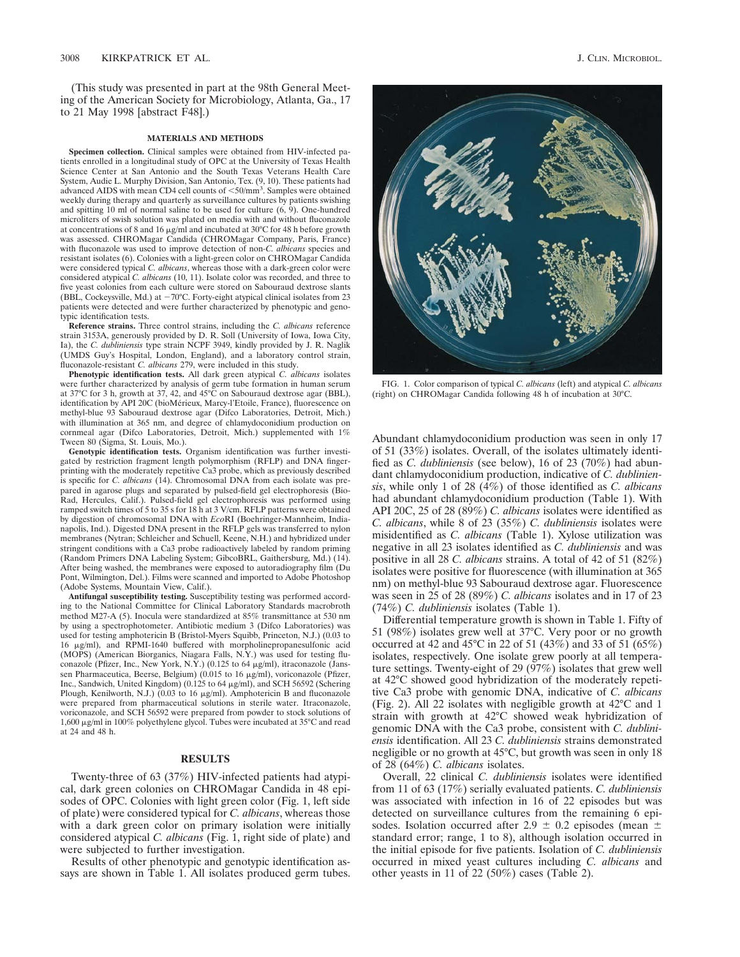(This study was presented in part at the 98th General Meeting of the American Society for Microbiology, Atlanta, Ga., 17 to 21 May 1998 [abstract F48].)

# **MATERIALS AND METHODS**

**Specimen collection.** Clinical samples were obtained from HIV-infected patients enrolled in a longitudinal study of OPC at the University of Texas Health Science Center at San Antonio and the South Texas Veterans Health Care System, Audie L. Murphy Division, San Antonio, Tex. (9, 10). These patients had advanced AIDS with mean CD4 cell counts of <50/mm<sup>3</sup>. Samples were obtained weekly during therapy and quarterly as surveillance cultures by patients swishing and spitting 10 ml of normal saline to be used for culture (6, 9). One-hundred microliters of swish solution was plated on media with and without fluconazole at concentrations of 8 and 16  $\mu$ g/ml and incubated at 30°C for 48 h before growth was assessed. CHROMagar Candida (CHROMagar Company, Paris, France) with fluconazole was used to improve detection of non*-C. albicans* species and resistant isolates (6). Colonies with a light-green color on CHROMagar Candida were considered typical *C. albicans*, whereas those with a dark-green color were considered atypical *C. albicans* (10, 11). Isolate color was recorded, and three to five yeast colonies from each culture were stored on Sabouraud dextrose slants (BBL, Cockeysville, Md.) at  $-70^{\circ}$ C. Forty-eight atypical clinical isolates from 23 patients were detected and were further characterized by phenotypic and genotypic identification tests.

**Reference strains.** Three control strains, including the *C. albicans* reference strain 3153A, generously provided by D. R. Soll (University of Iowa, Iowa City, Ia), the *C. dubliniensis* type strain NCPF 3949, kindly provided by J. R. Naglik (UMDS Guy's Hospital, London, England), and a laboratory control strain, fluconazole-resistant *C. albicans* 279, were included in this study.

**Phenotypic identification tests.** All dark green atypical *C. albicans* isolates were further characterized by analysis of germ tube formation in human serum at 37°C for 3 h, growth at 37, 42, and 45°C on Sabouraud dextrose agar (BBL), identification by API 20C (bioMérieux, Marcy-l'Etoile, France), fluorescence on methyl-blue 93 Sabouraud dextrose agar (Difco Laboratories, Detroit, Mich.) with illumination at 365 nm, and degree of chlamydoconidium production on cornmeal agar (Difco Laboratories, Detroit, Mich.) supplemented with 1% Tween 80 (Sigma, St. Louis, Mo.).

**Genotypic identification tests.** Organism identification was further investigated by restriction fragment length polymorphism (RFLP) and DNA fingerprinting with the moderately repetitive Ca3 probe, which as previously described is specific for *C. albicans* (14). Chromosomal DNA from each isolate was prepared in agarose plugs and separated by pulsed-field gel electrophoresis (Bio-Rad, Hercules, Calif.). Pulsed-field gel electrophoresis was performed using ramped switch times of 5 to 35 s for 18 h at 3 V/cm. RFLP patterns were obtained by digestion of chromosomal DNA with *Eco*RI (Boehringer-Mannheim, Indianapolis, Ind.). Digested DNA present in the RFLP gels was transferred to nylon membranes (Nytran; Schleicher and Schuell, Keene, N.H.) and hybridized under stringent conditions with a Ca3 probe radioactively labeled by random priming (Random Primers DNA Labeling System; GibcoBRL, Gaithersburg, Md.) (14). After being washed, the membranes were exposed to autoradiography film (Du Pont, Wilmington, Del.). Films were scanned and imported to Adobe Photoshop (Adobe Systems, Mountain View, Calif.).

**Antifungal susceptibility testing.** Susceptibility testing was performed according to the National Committee for Clinical Laboratory Standards macrobroth method M27-A (5). Inocula were standardized at 85% transmittance at 530 nm by using a spectrophotometer. Antibiotic medium 3 (Difco Laboratories) was used for testing amphotericin B (Bristol-Myers Squibb, Princeton, N.J.) (0.03 to 16 mg/ml), and RPMI-1640 buffered with morpholinepropanesulfonic acid (MOPS) (American Biorganics, Niagara Falls, N.Y.) was used for testing fluconazole (Pfizer, Inc., New York, N.Y.) (0.125 to 64  $\mu$ g/ml), itraconazole (Janssen Pharmaceutica, Beerse, Belgium) (0.015 to 16 µg/ml), voriconazole (Pfizer, Inc., Sandwich, United Kingdom) (0.125 to 64 µg/ml), and SCH 56592 (Schering Plough, Kenilworth, N.J.) (0.03 to 16 µg/ml). Amphotericin B and fluconazole were prepared from pharmaceutical solutions in sterile water. Itraconazole, voriconazole, and SCH 56592 were prepared from powder to stock solutions of 1,600 mg/ml in 100% polyethylene glycol. Tubes were incubated at 35°C and read at 24 and 48 h.

# **RESULTS**

Twenty-three of 63 (37%) HIV-infected patients had atypical, dark green colonies on CHROMagar Candida in 48 episodes of OPC. Colonies with light green color (Fig. 1, left side of plate) were considered typical for *C. albicans*, whereas those with a dark green color on primary isolation were initially considered atypical *C. albicans* (Fig. 1, right side of plate) and were subjected to further investigation.

Results of other phenotypic and genotypic identification assays are shown in Table 1. All isolates produced germ tubes.



FIG. 1. Color comparison of typical *C. albicans* (left) and atypical *C. albicans* (right) on CHROMagar Candida following 48 h of incubation at 30°C.

Abundant chlamydoconidium production was seen in only 17 of 51 (33%) isolates. Overall, of the isolates ultimately identified as *C. dubliniensis* (see below), 16 of 23 (70%) had abundant chlamydoconidium production, indicative of *C. dubliniensis*, while only 1 of 28 (4%) of those identified as *C. albicans* had abundant chlamydoconidium production (Table 1). With API 20C, 25 of 28 (89%) *C. albicans* isolates were identified as *C. albicans*, while 8 of 23 (35%) *C. dubliniensis* isolates were misidentified as *C. albicans* (Table 1). Xylose utilization was negative in all 23 isolates identified as *C. dubliniensis* and was positive in all 28 *C. albicans* strains. A total of 42 of 51 (82%) isolates were positive for fluorescence (with illumination at 365 nm) on methyl-blue 93 Sabouraud dextrose agar. Fluorescence was seen in 25 of 28 (89%) *C. albicans* isolates and in 17 of 23 (74%) *C. dubliniensis* isolates (Table 1).

Differential temperature growth is shown in Table 1. Fifty of 51 (98%) isolates grew well at 37°C. Very poor or no growth occurred at 42 and 45°C in 22 of 51 (43%) and 33 of 51 (65%) isolates, respectively. One isolate grew poorly at all temperature settings. Twenty-eight of 29 (97%) isolates that grew well at 42°C showed good hybridization of the moderately repetitive Ca3 probe with genomic DNA, indicative of *C. albicans* (Fig. 2). All 22 isolates with negligible growth at 42°C and 1 strain with growth at 42°C showed weak hybridization of genomic DNA with the Ca3 probe, consistent with *C. dubliniensis* identification. All 23 *C. dubliniensis* strains demonstrated negligible or no growth at 45°C, but growth was seen in only 18 of 28 (64%) *C. albicans* isolates.

Overall, 22 clinical *C. dubliniensis* isolates were identified from 11 of 63 (17%) serially evaluated patients. *C. dubliniensis* was associated with infection in 16 of 22 episodes but was detected on surveillance cultures from the remaining 6 episodes. Isolation occurred after 2.9  $\pm$  0.2 episodes (mean  $\pm$ standard error; range, 1 to 8), although isolation occurred in the initial episode for five patients. Isolation of *C. dubliniensis* occurred in mixed yeast cultures including *C. albicans* and other yeasts in 11 of 22 (50%) cases (Table 2).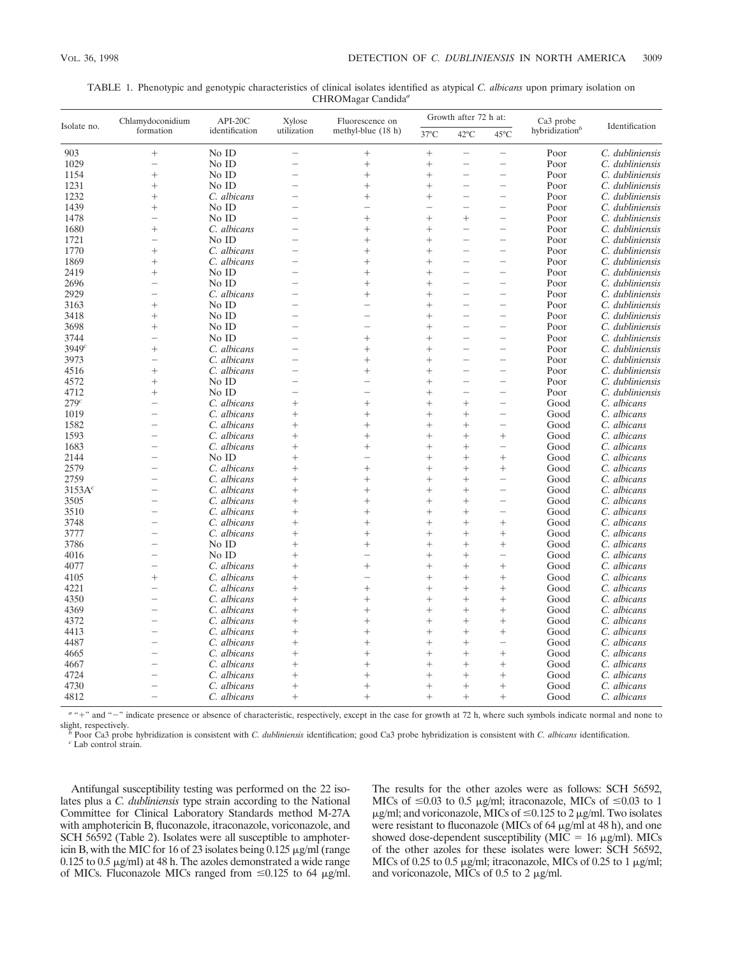| hybridization <sup>b</sup><br>formation<br>identification<br>utilization<br>methyl-blue $(18 h)$<br>$37^{\circ}$ C<br>$42^{\circ}$ C<br>$45^{\circ}$ C<br>$^{+}$<br>No ID<br>C. dubliniensis<br>903<br>$^{+}$<br>$\overline{\phantom{0}}$<br>Poor<br>$\overline{\phantom{0}}$<br>$\overline{\phantom{0}}$<br>1029<br>No ID<br>$^{+}$<br>$^{+}$<br>Poor<br>C. dubliniensis<br>÷<br>-<br>1154<br>$^{+}$<br>No ID<br>$^{+}$<br>Poor<br>C. dubliniensis<br>$^{+}$<br>$\overline{\phantom{0}}$<br>No ID<br>1231<br>$^{+}$<br>$^{+}$<br>$^{+}$<br>Poor<br>C. dubliniensis<br>$\overline{\phantom{0}}$<br>1232<br>C. albicans<br>Poor<br>C. dubliniensis<br>$^{+}$<br>$^{+}$<br>$^{+}$<br>$\overline{\phantom{0}}$<br>1439<br>No ID<br>$^{+}$<br>Poor<br>C. dubliniensis<br>$\overline{\phantom{0}}$<br>÷<br>÷<br>-<br>No ID<br>1478<br>C. dubliniensis<br>$^{+}$<br>$^{+}$<br>$^{+}$<br>$\overline{\phantom{0}}$<br>Poor<br>$\overline{\phantom{0}}$<br>1680<br>$^{+}$<br>C. albicans<br>$^{+}$<br>$^{+}$<br>Poor<br>C. dubliniensis<br>L.<br>L.<br>$\overline{\phantom{0}}$<br>No ID<br>Poor<br>1721<br>$^{+}$<br>$^{+}$<br>$\overline{\phantom{0}}$<br>C. dubliniensis<br>C. albicans<br>1770<br>$^{+}$<br>$^{+}$<br>$^{+}$<br>Poor<br>C. dubliniensis<br>÷<br>-<br>1869<br>C. albicans<br>Poor<br>$^{+}$<br>$^{+}$<br>$^{+}$<br>C. dubliniensis<br>$\overline{\phantom{0}}$<br>2419<br>No ID<br>$^{+}$<br>$^{+}$<br>$^{+}$<br>$\overline{\phantom{0}}$<br>Poor<br>C. dubliniensis<br>L.<br>No ID<br>2696<br>$^{+}$<br>$^{+}$<br>Poor<br>C. dubliniensis<br>L.<br>÷<br>C. albicans<br>2929<br>$^{+}$<br>Poor<br>C. dubliniensis<br>$^{+}$<br>$\overline{\phantom{0}}$<br>No ID<br>3163<br>$^{+}$<br>$^{+}$<br>Poor<br>C. dubliniensis<br>$\overline{\phantom{0}}$<br>$\overline{\phantom{0}}$<br>3418<br>$^{+}$<br>No ID<br>$^{+}$<br>Poor<br>C. dubliniensis<br>$\overline{\phantom{0}}$<br>3698<br>No ID<br>$^{+}$<br>Poor<br>C. dubliniensis<br>$^{+}$<br>$\overline{\phantom{0}}$<br>L.<br>$\overline{\phantom{0}}$<br>No ID<br>C. dubliniensis<br>3744<br>$^{+}$<br>$^{+}$<br>$\overline{\phantom{0}}$<br>Poor<br>÷<br>3949 <sup>c</sup><br>$^{+}$<br>C. albicans<br>$^{+}$<br>$^{+}$<br>Poor<br>C. dubliniensis<br>L.<br>L.<br>3973<br>C. albicans<br>$^{+}$<br>Poor<br>C. dubliniensis<br>$^{+}$<br>$\overline{\phantom{0}}$<br>C. albicans<br>4516<br>$^{+}$<br>$^{+}$<br>$^{+}$<br>Poor<br>C. dubliniensis<br>-<br>-<br>No ID<br>$^{+}$<br>Poor<br>4572<br>$^{+}$<br>C. dubliniensis<br>÷<br>No ID<br>Poor<br>C. dubliniensis<br>4712<br>$^{+}$<br>$^{+}$<br>$\overline{\phantom{0}}$<br>279c<br>C. albicans<br>$^{+}$<br>$^{+}$<br>$^{+}$<br>Good<br>C. albicans<br>$^{+}$<br>÷<br>C. albicans<br>1019<br>C. albicans<br>$^{+}$<br>Good<br>$^{+}$<br>$^{+}$<br>$^{+}$<br>÷<br>1582<br>Good<br>C. albicans<br>C. albicans<br>$^{+}$<br>$^{+}$<br>$^{+}$<br>$^{+}$<br>$\overline{\phantom{0}}$<br>$\overline{\phantom{a}}$<br>1593<br>C. albicans<br>$^{+}$<br>$^{+}$<br>$^{+}$<br>$^{+}$<br>Good<br>C. albicans<br>$^+$<br>1683<br>C. albicans<br>$^{+}$<br>$^{+}$<br>Good<br>C. albicans<br>$^{+}$<br>$^{+}$<br>÷<br>$\overline{\phantom{0}}$<br>No ID<br>$^{+}$<br>$^{+}$<br>Good<br>C. albicans<br>2144<br>$^{+}$<br>$^{+}$<br>C. albicans<br>2579<br>$^{+}$<br>$^{+}$<br>$^{+}$<br>$^{+}$<br>$^{+}$<br>Good<br>C. albicans<br>2759<br>C. albicans<br>$^{+}$<br>Good<br>C. albicans<br>$\hspace{0.1mm} +$<br>$^{+}$<br>$^{+}$<br>-<br>3153A <sup>c</sup><br>C. albicans<br>$^{+}$<br>C. albicans<br>$^{+}$<br>$^{+}$<br>$^{+}$<br>Good<br>-<br>$\overline{\phantom{0}}$<br>3505<br>C. albicans<br>$^{+}$<br>$^{+}$<br>Good<br>C. albicans<br>$^{+}$<br>$^{+}$<br>÷<br>3510<br>C. albicans<br>Good<br>C. albicans<br>$^{+}$<br>$^{+}$<br>$^{+}$<br>$^{+}$<br>$\overline{\phantom{0}}$<br>3748<br>C. albicans<br>$^{+}$<br>$^{+}$<br>$^{+}$<br>$^{+}$<br>Good<br>C. albicans<br>$^{+}$<br>L.<br>C. albicans<br>C. albicans<br>3777<br>$^{+}$<br>$^{+}$<br>$^{+}$<br>$^{+}$<br>Good<br>$^{+}$<br>3786<br>No ID<br>$^{+}$<br>$^{+}$<br>$^{+}$<br>Good<br>C. albicans<br>$^{+}$<br>$^{+}$<br>No ID<br>4016<br>$^{+}$<br>$^{+}$<br>Good<br>C. albicans<br>$^+$<br>÷<br>C. albicans<br>4077<br>$^{+}$<br>$^{+}$<br>$^{+}$<br>$^{+}$<br>Good<br>C. albicans<br>$^{+}$<br>÷<br>C. albicans<br>C. albicans<br>4105<br>$^{+}$<br>$^{+}$<br>Good<br>$^{+}$<br>$^{+}$<br>C. albicans<br>4221<br>C. albicans<br>$^{+}$<br>$^{+}$<br>$^{+}$<br>$^{+}$<br>$^{+}$<br>Good<br>C. albicans<br>$^{+}$<br>C. albicans<br>4350<br>$^{+}$<br>$^{+}$<br>$^{+}$<br>Good<br>$^{+}$<br>4369<br>C. albicans<br>C. albicans<br>$^{+}$<br>$^{+}$<br>$^{+}$<br>$^{+}$<br>$^{+}$<br>Good<br>C. albicans<br>4372<br>C. albicans<br>$^{+}$<br>$^{+}$<br>$^{+}$<br>Good<br>$^{+}$<br>$^{+}$<br>4413<br>C. albicans<br>$^{+}$<br>Good<br>C. albicans<br>$^{+}$<br>$^{+}$<br>$^{+}$<br>$\! + \!\!\!\!$<br>4487<br>C. albicans<br>C. albicans<br>$^{+}$<br>$^{+}$<br>$^{+}$<br>Good<br>$^{+}$<br>$\overline{\phantom{a}}$<br>$\overline{\phantom{0}}$<br>C. albicans<br>$^{+}$<br>C. albicans<br>4665<br>$^{+}$<br>$^{+}$<br>$^{+}$<br>Good<br>$^{+}$<br>4667<br>C. albicans<br>$^{+}$<br>$^{+}$<br>Good<br>C. albicans<br>$^{+}$<br>$^{+}$<br>$^{+}$<br>$\overline{\phantom{a}}$<br>C. albicans<br>C. albicans<br>4724<br>$^{+}$<br>$^{+}$<br>$^{+}$<br>$^{+}$<br>Good<br>$^{+}$<br>C. albicans<br>4730<br>C. albicans<br>$^{+}$<br>$^{+}$<br>$^{+}$<br>Good<br>$^{+}$<br>$^{+}$<br>C. albicans<br>C. albicans<br>4812<br>$^{+}$<br>$^{+}$<br>$^{+}$<br>$^{+}$<br>Good<br>$^{+}$ | Isolate no. | Chlamydoconidium | $API-20C$ | Xylose | Fluorescence on | Growth after 72 h at: |  |  | Ca3 probe |                |
|-----------------------------------------------------------------------------------------------------------------------------------------------------------------------------------------------------------------------------------------------------------------------------------------------------------------------------------------------------------------------------------------------------------------------------------------------------------------------------------------------------------------------------------------------------------------------------------------------------------------------------------------------------------------------------------------------------------------------------------------------------------------------------------------------------------------------------------------------------------------------------------------------------------------------------------------------------------------------------------------------------------------------------------------------------------------------------------------------------------------------------------------------------------------------------------------------------------------------------------------------------------------------------------------------------------------------------------------------------------------------------------------------------------------------------------------------------------------------------------------------------------------------------------------------------------------------------------------------------------------------------------------------------------------------------------------------------------------------------------------------------------------------------------------------------------------------------------------------------------------------------------------------------------------------------------------------------------------------------------------------------------------------------------------------------------------------------------------------------------------------------------------------------------------------------------------------------------------------------------------------------------------------------------------------------------------------------------------------------------------------------------------------------------------------------------------------------------------------------------------------------------------------------------------------------------------------------------------------------------------------------------------------------------------------------------------------------------------------------------------------------------------------------------------------------------------------------------------------------------------------------------------------------------------------------------------------------------------------------------------------------------------------------------------------------------------------------------------------------------------------------------------------------------------------------------------------------------------------------------------------------------------------------------------------------------------------------------------------------------------------------------------------------------------------------------------------------------------------------------------------------------------------------------------------------------------------------------------------------------------------------------------------------------------------------------------------------------------------------------------------------------------------------------------------------------------------------------------------------------------------------------------------------------------------------------------------------------------------------------------------------------------------------------------------------------------------------------------------------------------------------------------------------------------------------------------------------------------------------------------------------------------------------------------------------------------------------------------------------------------------------------------------------------------------------------------------------------------------------------------------------------------------------------------------------------------------------------------------------------------------------------------------------------------------------------------------------------------------------------------------------------------------------------------------------------------------------------------------------------------------------------------------------------------------------------------------------------------------------------------------------------------------------------------------------------------------------------------------------------------------------------------------------------------------------------------------------------------------------------------------------------------------------------------------------------------------------------------------------------------------------------------------------------------------------------------------------------------------------------------------------------------------------------------------------|-------------|------------------|-----------|--------|-----------------|-----------------------|--|--|-----------|----------------|
|                                                                                                                                                                                                                                                                                                                                                                                                                                                                                                                                                                                                                                                                                                                                                                                                                                                                                                                                                                                                                                                                                                                                                                                                                                                                                                                                                                                                                                                                                                                                                                                                                                                                                                                                                                                                                                                                                                                                                                                                                                                                                                                                                                                                                                                                                                                                                                                                                                                                                                                                                                                                                                                                                                                                                                                                                                                                                                                                                                                                                                                                                                                                                                                                                                                                                                                                                                                                                                                                                                                                                                                                                                                                                                                                                                                                                                                                                                                                                                                                                                                                                                                                                                                                                                                                                                                                                                                                                                                                                                                                                                                                                                                                                                                                                                                                                                                                                                                                                                                                                                                                                                                                                                                                                                                                                                                                                                                                                                                                                                                                                     |             |                  |           |        |                 |                       |  |  |           | Identification |
|                                                                                                                                                                                                                                                                                                                                                                                                                                                                                                                                                                                                                                                                                                                                                                                                                                                                                                                                                                                                                                                                                                                                                                                                                                                                                                                                                                                                                                                                                                                                                                                                                                                                                                                                                                                                                                                                                                                                                                                                                                                                                                                                                                                                                                                                                                                                                                                                                                                                                                                                                                                                                                                                                                                                                                                                                                                                                                                                                                                                                                                                                                                                                                                                                                                                                                                                                                                                                                                                                                                                                                                                                                                                                                                                                                                                                                                                                                                                                                                                                                                                                                                                                                                                                                                                                                                                                                                                                                                                                                                                                                                                                                                                                                                                                                                                                                                                                                                                                                                                                                                                                                                                                                                                                                                                                                                                                                                                                                                                                                                                                     |             |                  |           |        |                 |                       |  |  |           |                |
|                                                                                                                                                                                                                                                                                                                                                                                                                                                                                                                                                                                                                                                                                                                                                                                                                                                                                                                                                                                                                                                                                                                                                                                                                                                                                                                                                                                                                                                                                                                                                                                                                                                                                                                                                                                                                                                                                                                                                                                                                                                                                                                                                                                                                                                                                                                                                                                                                                                                                                                                                                                                                                                                                                                                                                                                                                                                                                                                                                                                                                                                                                                                                                                                                                                                                                                                                                                                                                                                                                                                                                                                                                                                                                                                                                                                                                                                                                                                                                                                                                                                                                                                                                                                                                                                                                                                                                                                                                                                                                                                                                                                                                                                                                                                                                                                                                                                                                                                                                                                                                                                                                                                                                                                                                                                                                                                                                                                                                                                                                                                                     |             |                  |           |        |                 |                       |  |  |           |                |
|                                                                                                                                                                                                                                                                                                                                                                                                                                                                                                                                                                                                                                                                                                                                                                                                                                                                                                                                                                                                                                                                                                                                                                                                                                                                                                                                                                                                                                                                                                                                                                                                                                                                                                                                                                                                                                                                                                                                                                                                                                                                                                                                                                                                                                                                                                                                                                                                                                                                                                                                                                                                                                                                                                                                                                                                                                                                                                                                                                                                                                                                                                                                                                                                                                                                                                                                                                                                                                                                                                                                                                                                                                                                                                                                                                                                                                                                                                                                                                                                                                                                                                                                                                                                                                                                                                                                                                                                                                                                                                                                                                                                                                                                                                                                                                                                                                                                                                                                                                                                                                                                                                                                                                                                                                                                                                                                                                                                                                                                                                                                                     |             |                  |           |        |                 |                       |  |  |           |                |
|                                                                                                                                                                                                                                                                                                                                                                                                                                                                                                                                                                                                                                                                                                                                                                                                                                                                                                                                                                                                                                                                                                                                                                                                                                                                                                                                                                                                                                                                                                                                                                                                                                                                                                                                                                                                                                                                                                                                                                                                                                                                                                                                                                                                                                                                                                                                                                                                                                                                                                                                                                                                                                                                                                                                                                                                                                                                                                                                                                                                                                                                                                                                                                                                                                                                                                                                                                                                                                                                                                                                                                                                                                                                                                                                                                                                                                                                                                                                                                                                                                                                                                                                                                                                                                                                                                                                                                                                                                                                                                                                                                                                                                                                                                                                                                                                                                                                                                                                                                                                                                                                                                                                                                                                                                                                                                                                                                                                                                                                                                                                                     |             |                  |           |        |                 |                       |  |  |           |                |
|                                                                                                                                                                                                                                                                                                                                                                                                                                                                                                                                                                                                                                                                                                                                                                                                                                                                                                                                                                                                                                                                                                                                                                                                                                                                                                                                                                                                                                                                                                                                                                                                                                                                                                                                                                                                                                                                                                                                                                                                                                                                                                                                                                                                                                                                                                                                                                                                                                                                                                                                                                                                                                                                                                                                                                                                                                                                                                                                                                                                                                                                                                                                                                                                                                                                                                                                                                                                                                                                                                                                                                                                                                                                                                                                                                                                                                                                                                                                                                                                                                                                                                                                                                                                                                                                                                                                                                                                                                                                                                                                                                                                                                                                                                                                                                                                                                                                                                                                                                                                                                                                                                                                                                                                                                                                                                                                                                                                                                                                                                                                                     |             |                  |           |        |                 |                       |  |  |           |                |
|                                                                                                                                                                                                                                                                                                                                                                                                                                                                                                                                                                                                                                                                                                                                                                                                                                                                                                                                                                                                                                                                                                                                                                                                                                                                                                                                                                                                                                                                                                                                                                                                                                                                                                                                                                                                                                                                                                                                                                                                                                                                                                                                                                                                                                                                                                                                                                                                                                                                                                                                                                                                                                                                                                                                                                                                                                                                                                                                                                                                                                                                                                                                                                                                                                                                                                                                                                                                                                                                                                                                                                                                                                                                                                                                                                                                                                                                                                                                                                                                                                                                                                                                                                                                                                                                                                                                                                                                                                                                                                                                                                                                                                                                                                                                                                                                                                                                                                                                                                                                                                                                                                                                                                                                                                                                                                                                                                                                                                                                                                                                                     |             |                  |           |        |                 |                       |  |  |           |                |
|                                                                                                                                                                                                                                                                                                                                                                                                                                                                                                                                                                                                                                                                                                                                                                                                                                                                                                                                                                                                                                                                                                                                                                                                                                                                                                                                                                                                                                                                                                                                                                                                                                                                                                                                                                                                                                                                                                                                                                                                                                                                                                                                                                                                                                                                                                                                                                                                                                                                                                                                                                                                                                                                                                                                                                                                                                                                                                                                                                                                                                                                                                                                                                                                                                                                                                                                                                                                                                                                                                                                                                                                                                                                                                                                                                                                                                                                                                                                                                                                                                                                                                                                                                                                                                                                                                                                                                                                                                                                                                                                                                                                                                                                                                                                                                                                                                                                                                                                                                                                                                                                                                                                                                                                                                                                                                                                                                                                                                                                                                                                                     |             |                  |           |        |                 |                       |  |  |           |                |
|                                                                                                                                                                                                                                                                                                                                                                                                                                                                                                                                                                                                                                                                                                                                                                                                                                                                                                                                                                                                                                                                                                                                                                                                                                                                                                                                                                                                                                                                                                                                                                                                                                                                                                                                                                                                                                                                                                                                                                                                                                                                                                                                                                                                                                                                                                                                                                                                                                                                                                                                                                                                                                                                                                                                                                                                                                                                                                                                                                                                                                                                                                                                                                                                                                                                                                                                                                                                                                                                                                                                                                                                                                                                                                                                                                                                                                                                                                                                                                                                                                                                                                                                                                                                                                                                                                                                                                                                                                                                                                                                                                                                                                                                                                                                                                                                                                                                                                                                                                                                                                                                                                                                                                                                                                                                                                                                                                                                                                                                                                                                                     |             |                  |           |        |                 |                       |  |  |           |                |
|                                                                                                                                                                                                                                                                                                                                                                                                                                                                                                                                                                                                                                                                                                                                                                                                                                                                                                                                                                                                                                                                                                                                                                                                                                                                                                                                                                                                                                                                                                                                                                                                                                                                                                                                                                                                                                                                                                                                                                                                                                                                                                                                                                                                                                                                                                                                                                                                                                                                                                                                                                                                                                                                                                                                                                                                                                                                                                                                                                                                                                                                                                                                                                                                                                                                                                                                                                                                                                                                                                                                                                                                                                                                                                                                                                                                                                                                                                                                                                                                                                                                                                                                                                                                                                                                                                                                                                                                                                                                                                                                                                                                                                                                                                                                                                                                                                                                                                                                                                                                                                                                                                                                                                                                                                                                                                                                                                                                                                                                                                                                                     |             |                  |           |        |                 |                       |  |  |           |                |
|                                                                                                                                                                                                                                                                                                                                                                                                                                                                                                                                                                                                                                                                                                                                                                                                                                                                                                                                                                                                                                                                                                                                                                                                                                                                                                                                                                                                                                                                                                                                                                                                                                                                                                                                                                                                                                                                                                                                                                                                                                                                                                                                                                                                                                                                                                                                                                                                                                                                                                                                                                                                                                                                                                                                                                                                                                                                                                                                                                                                                                                                                                                                                                                                                                                                                                                                                                                                                                                                                                                                                                                                                                                                                                                                                                                                                                                                                                                                                                                                                                                                                                                                                                                                                                                                                                                                                                                                                                                                                                                                                                                                                                                                                                                                                                                                                                                                                                                                                                                                                                                                                                                                                                                                                                                                                                                                                                                                                                                                                                                                                     |             |                  |           |        |                 |                       |  |  |           |                |
|                                                                                                                                                                                                                                                                                                                                                                                                                                                                                                                                                                                                                                                                                                                                                                                                                                                                                                                                                                                                                                                                                                                                                                                                                                                                                                                                                                                                                                                                                                                                                                                                                                                                                                                                                                                                                                                                                                                                                                                                                                                                                                                                                                                                                                                                                                                                                                                                                                                                                                                                                                                                                                                                                                                                                                                                                                                                                                                                                                                                                                                                                                                                                                                                                                                                                                                                                                                                                                                                                                                                                                                                                                                                                                                                                                                                                                                                                                                                                                                                                                                                                                                                                                                                                                                                                                                                                                                                                                                                                                                                                                                                                                                                                                                                                                                                                                                                                                                                                                                                                                                                                                                                                                                                                                                                                                                                                                                                                                                                                                                                                     |             |                  |           |        |                 |                       |  |  |           |                |
|                                                                                                                                                                                                                                                                                                                                                                                                                                                                                                                                                                                                                                                                                                                                                                                                                                                                                                                                                                                                                                                                                                                                                                                                                                                                                                                                                                                                                                                                                                                                                                                                                                                                                                                                                                                                                                                                                                                                                                                                                                                                                                                                                                                                                                                                                                                                                                                                                                                                                                                                                                                                                                                                                                                                                                                                                                                                                                                                                                                                                                                                                                                                                                                                                                                                                                                                                                                                                                                                                                                                                                                                                                                                                                                                                                                                                                                                                                                                                                                                                                                                                                                                                                                                                                                                                                                                                                                                                                                                                                                                                                                                                                                                                                                                                                                                                                                                                                                                                                                                                                                                                                                                                                                                                                                                                                                                                                                                                                                                                                                                                     |             |                  |           |        |                 |                       |  |  |           |                |
|                                                                                                                                                                                                                                                                                                                                                                                                                                                                                                                                                                                                                                                                                                                                                                                                                                                                                                                                                                                                                                                                                                                                                                                                                                                                                                                                                                                                                                                                                                                                                                                                                                                                                                                                                                                                                                                                                                                                                                                                                                                                                                                                                                                                                                                                                                                                                                                                                                                                                                                                                                                                                                                                                                                                                                                                                                                                                                                                                                                                                                                                                                                                                                                                                                                                                                                                                                                                                                                                                                                                                                                                                                                                                                                                                                                                                                                                                                                                                                                                                                                                                                                                                                                                                                                                                                                                                                                                                                                                                                                                                                                                                                                                                                                                                                                                                                                                                                                                                                                                                                                                                                                                                                                                                                                                                                                                                                                                                                                                                                                                                     |             |                  |           |        |                 |                       |  |  |           |                |
|                                                                                                                                                                                                                                                                                                                                                                                                                                                                                                                                                                                                                                                                                                                                                                                                                                                                                                                                                                                                                                                                                                                                                                                                                                                                                                                                                                                                                                                                                                                                                                                                                                                                                                                                                                                                                                                                                                                                                                                                                                                                                                                                                                                                                                                                                                                                                                                                                                                                                                                                                                                                                                                                                                                                                                                                                                                                                                                                                                                                                                                                                                                                                                                                                                                                                                                                                                                                                                                                                                                                                                                                                                                                                                                                                                                                                                                                                                                                                                                                                                                                                                                                                                                                                                                                                                                                                                                                                                                                                                                                                                                                                                                                                                                                                                                                                                                                                                                                                                                                                                                                                                                                                                                                                                                                                                                                                                                                                                                                                                                                                     |             |                  |           |        |                 |                       |  |  |           |                |
|                                                                                                                                                                                                                                                                                                                                                                                                                                                                                                                                                                                                                                                                                                                                                                                                                                                                                                                                                                                                                                                                                                                                                                                                                                                                                                                                                                                                                                                                                                                                                                                                                                                                                                                                                                                                                                                                                                                                                                                                                                                                                                                                                                                                                                                                                                                                                                                                                                                                                                                                                                                                                                                                                                                                                                                                                                                                                                                                                                                                                                                                                                                                                                                                                                                                                                                                                                                                                                                                                                                                                                                                                                                                                                                                                                                                                                                                                                                                                                                                                                                                                                                                                                                                                                                                                                                                                                                                                                                                                                                                                                                                                                                                                                                                                                                                                                                                                                                                                                                                                                                                                                                                                                                                                                                                                                                                                                                                                                                                                                                                                     |             |                  |           |        |                 |                       |  |  |           |                |
|                                                                                                                                                                                                                                                                                                                                                                                                                                                                                                                                                                                                                                                                                                                                                                                                                                                                                                                                                                                                                                                                                                                                                                                                                                                                                                                                                                                                                                                                                                                                                                                                                                                                                                                                                                                                                                                                                                                                                                                                                                                                                                                                                                                                                                                                                                                                                                                                                                                                                                                                                                                                                                                                                                                                                                                                                                                                                                                                                                                                                                                                                                                                                                                                                                                                                                                                                                                                                                                                                                                                                                                                                                                                                                                                                                                                                                                                                                                                                                                                                                                                                                                                                                                                                                                                                                                                                                                                                                                                                                                                                                                                                                                                                                                                                                                                                                                                                                                                                                                                                                                                                                                                                                                                                                                                                                                                                                                                                                                                                                                                                     |             |                  |           |        |                 |                       |  |  |           |                |
|                                                                                                                                                                                                                                                                                                                                                                                                                                                                                                                                                                                                                                                                                                                                                                                                                                                                                                                                                                                                                                                                                                                                                                                                                                                                                                                                                                                                                                                                                                                                                                                                                                                                                                                                                                                                                                                                                                                                                                                                                                                                                                                                                                                                                                                                                                                                                                                                                                                                                                                                                                                                                                                                                                                                                                                                                                                                                                                                                                                                                                                                                                                                                                                                                                                                                                                                                                                                                                                                                                                                                                                                                                                                                                                                                                                                                                                                                                                                                                                                                                                                                                                                                                                                                                                                                                                                                                                                                                                                                                                                                                                                                                                                                                                                                                                                                                                                                                                                                                                                                                                                                                                                                                                                                                                                                                                                                                                                                                                                                                                                                     |             |                  |           |        |                 |                       |  |  |           |                |
|                                                                                                                                                                                                                                                                                                                                                                                                                                                                                                                                                                                                                                                                                                                                                                                                                                                                                                                                                                                                                                                                                                                                                                                                                                                                                                                                                                                                                                                                                                                                                                                                                                                                                                                                                                                                                                                                                                                                                                                                                                                                                                                                                                                                                                                                                                                                                                                                                                                                                                                                                                                                                                                                                                                                                                                                                                                                                                                                                                                                                                                                                                                                                                                                                                                                                                                                                                                                                                                                                                                                                                                                                                                                                                                                                                                                                                                                                                                                                                                                                                                                                                                                                                                                                                                                                                                                                                                                                                                                                                                                                                                                                                                                                                                                                                                                                                                                                                                                                                                                                                                                                                                                                                                                                                                                                                                                                                                                                                                                                                                                                     |             |                  |           |        |                 |                       |  |  |           |                |
|                                                                                                                                                                                                                                                                                                                                                                                                                                                                                                                                                                                                                                                                                                                                                                                                                                                                                                                                                                                                                                                                                                                                                                                                                                                                                                                                                                                                                                                                                                                                                                                                                                                                                                                                                                                                                                                                                                                                                                                                                                                                                                                                                                                                                                                                                                                                                                                                                                                                                                                                                                                                                                                                                                                                                                                                                                                                                                                                                                                                                                                                                                                                                                                                                                                                                                                                                                                                                                                                                                                                                                                                                                                                                                                                                                                                                                                                                                                                                                                                                                                                                                                                                                                                                                                                                                                                                                                                                                                                                                                                                                                                                                                                                                                                                                                                                                                                                                                                                                                                                                                                                                                                                                                                                                                                                                                                                                                                                                                                                                                                                     |             |                  |           |        |                 |                       |  |  |           |                |
|                                                                                                                                                                                                                                                                                                                                                                                                                                                                                                                                                                                                                                                                                                                                                                                                                                                                                                                                                                                                                                                                                                                                                                                                                                                                                                                                                                                                                                                                                                                                                                                                                                                                                                                                                                                                                                                                                                                                                                                                                                                                                                                                                                                                                                                                                                                                                                                                                                                                                                                                                                                                                                                                                                                                                                                                                                                                                                                                                                                                                                                                                                                                                                                                                                                                                                                                                                                                                                                                                                                                                                                                                                                                                                                                                                                                                                                                                                                                                                                                                                                                                                                                                                                                                                                                                                                                                                                                                                                                                                                                                                                                                                                                                                                                                                                                                                                                                                                                                                                                                                                                                                                                                                                                                                                                                                                                                                                                                                                                                                                                                     |             |                  |           |        |                 |                       |  |  |           |                |
|                                                                                                                                                                                                                                                                                                                                                                                                                                                                                                                                                                                                                                                                                                                                                                                                                                                                                                                                                                                                                                                                                                                                                                                                                                                                                                                                                                                                                                                                                                                                                                                                                                                                                                                                                                                                                                                                                                                                                                                                                                                                                                                                                                                                                                                                                                                                                                                                                                                                                                                                                                                                                                                                                                                                                                                                                                                                                                                                                                                                                                                                                                                                                                                                                                                                                                                                                                                                                                                                                                                                                                                                                                                                                                                                                                                                                                                                                                                                                                                                                                                                                                                                                                                                                                                                                                                                                                                                                                                                                                                                                                                                                                                                                                                                                                                                                                                                                                                                                                                                                                                                                                                                                                                                                                                                                                                                                                                                                                                                                                                                                     |             |                  |           |        |                 |                       |  |  |           |                |
|                                                                                                                                                                                                                                                                                                                                                                                                                                                                                                                                                                                                                                                                                                                                                                                                                                                                                                                                                                                                                                                                                                                                                                                                                                                                                                                                                                                                                                                                                                                                                                                                                                                                                                                                                                                                                                                                                                                                                                                                                                                                                                                                                                                                                                                                                                                                                                                                                                                                                                                                                                                                                                                                                                                                                                                                                                                                                                                                                                                                                                                                                                                                                                                                                                                                                                                                                                                                                                                                                                                                                                                                                                                                                                                                                                                                                                                                                                                                                                                                                                                                                                                                                                                                                                                                                                                                                                                                                                                                                                                                                                                                                                                                                                                                                                                                                                                                                                                                                                                                                                                                                                                                                                                                                                                                                                                                                                                                                                                                                                                                                     |             |                  |           |        |                 |                       |  |  |           |                |
|                                                                                                                                                                                                                                                                                                                                                                                                                                                                                                                                                                                                                                                                                                                                                                                                                                                                                                                                                                                                                                                                                                                                                                                                                                                                                                                                                                                                                                                                                                                                                                                                                                                                                                                                                                                                                                                                                                                                                                                                                                                                                                                                                                                                                                                                                                                                                                                                                                                                                                                                                                                                                                                                                                                                                                                                                                                                                                                                                                                                                                                                                                                                                                                                                                                                                                                                                                                                                                                                                                                                                                                                                                                                                                                                                                                                                                                                                                                                                                                                                                                                                                                                                                                                                                                                                                                                                                                                                                                                                                                                                                                                                                                                                                                                                                                                                                                                                                                                                                                                                                                                                                                                                                                                                                                                                                                                                                                                                                                                                                                                                     |             |                  |           |        |                 |                       |  |  |           |                |
|                                                                                                                                                                                                                                                                                                                                                                                                                                                                                                                                                                                                                                                                                                                                                                                                                                                                                                                                                                                                                                                                                                                                                                                                                                                                                                                                                                                                                                                                                                                                                                                                                                                                                                                                                                                                                                                                                                                                                                                                                                                                                                                                                                                                                                                                                                                                                                                                                                                                                                                                                                                                                                                                                                                                                                                                                                                                                                                                                                                                                                                                                                                                                                                                                                                                                                                                                                                                                                                                                                                                                                                                                                                                                                                                                                                                                                                                                                                                                                                                                                                                                                                                                                                                                                                                                                                                                                                                                                                                                                                                                                                                                                                                                                                                                                                                                                                                                                                                                                                                                                                                                                                                                                                                                                                                                                                                                                                                                                                                                                                                                     |             |                  |           |        |                 |                       |  |  |           |                |
|                                                                                                                                                                                                                                                                                                                                                                                                                                                                                                                                                                                                                                                                                                                                                                                                                                                                                                                                                                                                                                                                                                                                                                                                                                                                                                                                                                                                                                                                                                                                                                                                                                                                                                                                                                                                                                                                                                                                                                                                                                                                                                                                                                                                                                                                                                                                                                                                                                                                                                                                                                                                                                                                                                                                                                                                                                                                                                                                                                                                                                                                                                                                                                                                                                                                                                                                                                                                                                                                                                                                                                                                                                                                                                                                                                                                                                                                                                                                                                                                                                                                                                                                                                                                                                                                                                                                                                                                                                                                                                                                                                                                                                                                                                                                                                                                                                                                                                                                                                                                                                                                                                                                                                                                                                                                                                                                                                                                                                                                                                                                                     |             |                  |           |        |                 |                       |  |  |           |                |
|                                                                                                                                                                                                                                                                                                                                                                                                                                                                                                                                                                                                                                                                                                                                                                                                                                                                                                                                                                                                                                                                                                                                                                                                                                                                                                                                                                                                                                                                                                                                                                                                                                                                                                                                                                                                                                                                                                                                                                                                                                                                                                                                                                                                                                                                                                                                                                                                                                                                                                                                                                                                                                                                                                                                                                                                                                                                                                                                                                                                                                                                                                                                                                                                                                                                                                                                                                                                                                                                                                                                                                                                                                                                                                                                                                                                                                                                                                                                                                                                                                                                                                                                                                                                                                                                                                                                                                                                                                                                                                                                                                                                                                                                                                                                                                                                                                                                                                                                                                                                                                                                                                                                                                                                                                                                                                                                                                                                                                                                                                                                                     |             |                  |           |        |                 |                       |  |  |           |                |
|                                                                                                                                                                                                                                                                                                                                                                                                                                                                                                                                                                                                                                                                                                                                                                                                                                                                                                                                                                                                                                                                                                                                                                                                                                                                                                                                                                                                                                                                                                                                                                                                                                                                                                                                                                                                                                                                                                                                                                                                                                                                                                                                                                                                                                                                                                                                                                                                                                                                                                                                                                                                                                                                                                                                                                                                                                                                                                                                                                                                                                                                                                                                                                                                                                                                                                                                                                                                                                                                                                                                                                                                                                                                                                                                                                                                                                                                                                                                                                                                                                                                                                                                                                                                                                                                                                                                                                                                                                                                                                                                                                                                                                                                                                                                                                                                                                                                                                                                                                                                                                                                                                                                                                                                                                                                                                                                                                                                                                                                                                                                                     |             |                  |           |        |                 |                       |  |  |           |                |
|                                                                                                                                                                                                                                                                                                                                                                                                                                                                                                                                                                                                                                                                                                                                                                                                                                                                                                                                                                                                                                                                                                                                                                                                                                                                                                                                                                                                                                                                                                                                                                                                                                                                                                                                                                                                                                                                                                                                                                                                                                                                                                                                                                                                                                                                                                                                                                                                                                                                                                                                                                                                                                                                                                                                                                                                                                                                                                                                                                                                                                                                                                                                                                                                                                                                                                                                                                                                                                                                                                                                                                                                                                                                                                                                                                                                                                                                                                                                                                                                                                                                                                                                                                                                                                                                                                                                                                                                                                                                                                                                                                                                                                                                                                                                                                                                                                                                                                                                                                                                                                                                                                                                                                                                                                                                                                                                                                                                                                                                                                                                                     |             |                  |           |        |                 |                       |  |  |           |                |
|                                                                                                                                                                                                                                                                                                                                                                                                                                                                                                                                                                                                                                                                                                                                                                                                                                                                                                                                                                                                                                                                                                                                                                                                                                                                                                                                                                                                                                                                                                                                                                                                                                                                                                                                                                                                                                                                                                                                                                                                                                                                                                                                                                                                                                                                                                                                                                                                                                                                                                                                                                                                                                                                                                                                                                                                                                                                                                                                                                                                                                                                                                                                                                                                                                                                                                                                                                                                                                                                                                                                                                                                                                                                                                                                                                                                                                                                                                                                                                                                                                                                                                                                                                                                                                                                                                                                                                                                                                                                                                                                                                                                                                                                                                                                                                                                                                                                                                                                                                                                                                                                                                                                                                                                                                                                                                                                                                                                                                                                                                                                                     |             |                  |           |        |                 |                       |  |  |           |                |
|                                                                                                                                                                                                                                                                                                                                                                                                                                                                                                                                                                                                                                                                                                                                                                                                                                                                                                                                                                                                                                                                                                                                                                                                                                                                                                                                                                                                                                                                                                                                                                                                                                                                                                                                                                                                                                                                                                                                                                                                                                                                                                                                                                                                                                                                                                                                                                                                                                                                                                                                                                                                                                                                                                                                                                                                                                                                                                                                                                                                                                                                                                                                                                                                                                                                                                                                                                                                                                                                                                                                                                                                                                                                                                                                                                                                                                                                                                                                                                                                                                                                                                                                                                                                                                                                                                                                                                                                                                                                                                                                                                                                                                                                                                                                                                                                                                                                                                                                                                                                                                                                                                                                                                                                                                                                                                                                                                                                                                                                                                                                                     |             |                  |           |        |                 |                       |  |  |           |                |
|                                                                                                                                                                                                                                                                                                                                                                                                                                                                                                                                                                                                                                                                                                                                                                                                                                                                                                                                                                                                                                                                                                                                                                                                                                                                                                                                                                                                                                                                                                                                                                                                                                                                                                                                                                                                                                                                                                                                                                                                                                                                                                                                                                                                                                                                                                                                                                                                                                                                                                                                                                                                                                                                                                                                                                                                                                                                                                                                                                                                                                                                                                                                                                                                                                                                                                                                                                                                                                                                                                                                                                                                                                                                                                                                                                                                                                                                                                                                                                                                                                                                                                                                                                                                                                                                                                                                                                                                                                                                                                                                                                                                                                                                                                                                                                                                                                                                                                                                                                                                                                                                                                                                                                                                                                                                                                                                                                                                                                                                                                                                                     |             |                  |           |        |                 |                       |  |  |           |                |
|                                                                                                                                                                                                                                                                                                                                                                                                                                                                                                                                                                                                                                                                                                                                                                                                                                                                                                                                                                                                                                                                                                                                                                                                                                                                                                                                                                                                                                                                                                                                                                                                                                                                                                                                                                                                                                                                                                                                                                                                                                                                                                                                                                                                                                                                                                                                                                                                                                                                                                                                                                                                                                                                                                                                                                                                                                                                                                                                                                                                                                                                                                                                                                                                                                                                                                                                                                                                                                                                                                                                                                                                                                                                                                                                                                                                                                                                                                                                                                                                                                                                                                                                                                                                                                                                                                                                                                                                                                                                                                                                                                                                                                                                                                                                                                                                                                                                                                                                                                                                                                                                                                                                                                                                                                                                                                                                                                                                                                                                                                                                                     |             |                  |           |        |                 |                       |  |  |           |                |
|                                                                                                                                                                                                                                                                                                                                                                                                                                                                                                                                                                                                                                                                                                                                                                                                                                                                                                                                                                                                                                                                                                                                                                                                                                                                                                                                                                                                                                                                                                                                                                                                                                                                                                                                                                                                                                                                                                                                                                                                                                                                                                                                                                                                                                                                                                                                                                                                                                                                                                                                                                                                                                                                                                                                                                                                                                                                                                                                                                                                                                                                                                                                                                                                                                                                                                                                                                                                                                                                                                                                                                                                                                                                                                                                                                                                                                                                                                                                                                                                                                                                                                                                                                                                                                                                                                                                                                                                                                                                                                                                                                                                                                                                                                                                                                                                                                                                                                                                                                                                                                                                                                                                                                                                                                                                                                                                                                                                                                                                                                                                                     |             |                  |           |        |                 |                       |  |  |           |                |
|                                                                                                                                                                                                                                                                                                                                                                                                                                                                                                                                                                                                                                                                                                                                                                                                                                                                                                                                                                                                                                                                                                                                                                                                                                                                                                                                                                                                                                                                                                                                                                                                                                                                                                                                                                                                                                                                                                                                                                                                                                                                                                                                                                                                                                                                                                                                                                                                                                                                                                                                                                                                                                                                                                                                                                                                                                                                                                                                                                                                                                                                                                                                                                                                                                                                                                                                                                                                                                                                                                                                                                                                                                                                                                                                                                                                                                                                                                                                                                                                                                                                                                                                                                                                                                                                                                                                                                                                                                                                                                                                                                                                                                                                                                                                                                                                                                                                                                                                                                                                                                                                                                                                                                                                                                                                                                                                                                                                                                                                                                                                                     |             |                  |           |        |                 |                       |  |  |           |                |
|                                                                                                                                                                                                                                                                                                                                                                                                                                                                                                                                                                                                                                                                                                                                                                                                                                                                                                                                                                                                                                                                                                                                                                                                                                                                                                                                                                                                                                                                                                                                                                                                                                                                                                                                                                                                                                                                                                                                                                                                                                                                                                                                                                                                                                                                                                                                                                                                                                                                                                                                                                                                                                                                                                                                                                                                                                                                                                                                                                                                                                                                                                                                                                                                                                                                                                                                                                                                                                                                                                                                                                                                                                                                                                                                                                                                                                                                                                                                                                                                                                                                                                                                                                                                                                                                                                                                                                                                                                                                                                                                                                                                                                                                                                                                                                                                                                                                                                                                                                                                                                                                                                                                                                                                                                                                                                                                                                                                                                                                                                                                                     |             |                  |           |        |                 |                       |  |  |           |                |
|                                                                                                                                                                                                                                                                                                                                                                                                                                                                                                                                                                                                                                                                                                                                                                                                                                                                                                                                                                                                                                                                                                                                                                                                                                                                                                                                                                                                                                                                                                                                                                                                                                                                                                                                                                                                                                                                                                                                                                                                                                                                                                                                                                                                                                                                                                                                                                                                                                                                                                                                                                                                                                                                                                                                                                                                                                                                                                                                                                                                                                                                                                                                                                                                                                                                                                                                                                                                                                                                                                                                                                                                                                                                                                                                                                                                                                                                                                                                                                                                                                                                                                                                                                                                                                                                                                                                                                                                                                                                                                                                                                                                                                                                                                                                                                                                                                                                                                                                                                                                                                                                                                                                                                                                                                                                                                                                                                                                                                                                                                                                                     |             |                  |           |        |                 |                       |  |  |           |                |
|                                                                                                                                                                                                                                                                                                                                                                                                                                                                                                                                                                                                                                                                                                                                                                                                                                                                                                                                                                                                                                                                                                                                                                                                                                                                                                                                                                                                                                                                                                                                                                                                                                                                                                                                                                                                                                                                                                                                                                                                                                                                                                                                                                                                                                                                                                                                                                                                                                                                                                                                                                                                                                                                                                                                                                                                                                                                                                                                                                                                                                                                                                                                                                                                                                                                                                                                                                                                                                                                                                                                                                                                                                                                                                                                                                                                                                                                                                                                                                                                                                                                                                                                                                                                                                                                                                                                                                                                                                                                                                                                                                                                                                                                                                                                                                                                                                                                                                                                                                                                                                                                                                                                                                                                                                                                                                                                                                                                                                                                                                                                                     |             |                  |           |        |                 |                       |  |  |           |                |
|                                                                                                                                                                                                                                                                                                                                                                                                                                                                                                                                                                                                                                                                                                                                                                                                                                                                                                                                                                                                                                                                                                                                                                                                                                                                                                                                                                                                                                                                                                                                                                                                                                                                                                                                                                                                                                                                                                                                                                                                                                                                                                                                                                                                                                                                                                                                                                                                                                                                                                                                                                                                                                                                                                                                                                                                                                                                                                                                                                                                                                                                                                                                                                                                                                                                                                                                                                                                                                                                                                                                                                                                                                                                                                                                                                                                                                                                                                                                                                                                                                                                                                                                                                                                                                                                                                                                                                                                                                                                                                                                                                                                                                                                                                                                                                                                                                                                                                                                                                                                                                                                                                                                                                                                                                                                                                                                                                                                                                                                                                                                                     |             |                  |           |        |                 |                       |  |  |           |                |
|                                                                                                                                                                                                                                                                                                                                                                                                                                                                                                                                                                                                                                                                                                                                                                                                                                                                                                                                                                                                                                                                                                                                                                                                                                                                                                                                                                                                                                                                                                                                                                                                                                                                                                                                                                                                                                                                                                                                                                                                                                                                                                                                                                                                                                                                                                                                                                                                                                                                                                                                                                                                                                                                                                                                                                                                                                                                                                                                                                                                                                                                                                                                                                                                                                                                                                                                                                                                                                                                                                                                                                                                                                                                                                                                                                                                                                                                                                                                                                                                                                                                                                                                                                                                                                                                                                                                                                                                                                                                                                                                                                                                                                                                                                                                                                                                                                                                                                                                                                                                                                                                                                                                                                                                                                                                                                                                                                                                                                                                                                                                                     |             |                  |           |        |                 |                       |  |  |           |                |
|                                                                                                                                                                                                                                                                                                                                                                                                                                                                                                                                                                                                                                                                                                                                                                                                                                                                                                                                                                                                                                                                                                                                                                                                                                                                                                                                                                                                                                                                                                                                                                                                                                                                                                                                                                                                                                                                                                                                                                                                                                                                                                                                                                                                                                                                                                                                                                                                                                                                                                                                                                                                                                                                                                                                                                                                                                                                                                                                                                                                                                                                                                                                                                                                                                                                                                                                                                                                                                                                                                                                                                                                                                                                                                                                                                                                                                                                                                                                                                                                                                                                                                                                                                                                                                                                                                                                                                                                                                                                                                                                                                                                                                                                                                                                                                                                                                                                                                                                                                                                                                                                                                                                                                                                                                                                                                                                                                                                                                                                                                                                                     |             |                  |           |        |                 |                       |  |  |           |                |
|                                                                                                                                                                                                                                                                                                                                                                                                                                                                                                                                                                                                                                                                                                                                                                                                                                                                                                                                                                                                                                                                                                                                                                                                                                                                                                                                                                                                                                                                                                                                                                                                                                                                                                                                                                                                                                                                                                                                                                                                                                                                                                                                                                                                                                                                                                                                                                                                                                                                                                                                                                                                                                                                                                                                                                                                                                                                                                                                                                                                                                                                                                                                                                                                                                                                                                                                                                                                                                                                                                                                                                                                                                                                                                                                                                                                                                                                                                                                                                                                                                                                                                                                                                                                                                                                                                                                                                                                                                                                                                                                                                                                                                                                                                                                                                                                                                                                                                                                                                                                                                                                                                                                                                                                                                                                                                                                                                                                                                                                                                                                                     |             |                  |           |        |                 |                       |  |  |           |                |
|                                                                                                                                                                                                                                                                                                                                                                                                                                                                                                                                                                                                                                                                                                                                                                                                                                                                                                                                                                                                                                                                                                                                                                                                                                                                                                                                                                                                                                                                                                                                                                                                                                                                                                                                                                                                                                                                                                                                                                                                                                                                                                                                                                                                                                                                                                                                                                                                                                                                                                                                                                                                                                                                                                                                                                                                                                                                                                                                                                                                                                                                                                                                                                                                                                                                                                                                                                                                                                                                                                                                                                                                                                                                                                                                                                                                                                                                                                                                                                                                                                                                                                                                                                                                                                                                                                                                                                                                                                                                                                                                                                                                                                                                                                                                                                                                                                                                                                                                                                                                                                                                                                                                                                                                                                                                                                                                                                                                                                                                                                                                                     |             |                  |           |        |                 |                       |  |  |           |                |
|                                                                                                                                                                                                                                                                                                                                                                                                                                                                                                                                                                                                                                                                                                                                                                                                                                                                                                                                                                                                                                                                                                                                                                                                                                                                                                                                                                                                                                                                                                                                                                                                                                                                                                                                                                                                                                                                                                                                                                                                                                                                                                                                                                                                                                                                                                                                                                                                                                                                                                                                                                                                                                                                                                                                                                                                                                                                                                                                                                                                                                                                                                                                                                                                                                                                                                                                                                                                                                                                                                                                                                                                                                                                                                                                                                                                                                                                                                                                                                                                                                                                                                                                                                                                                                                                                                                                                                                                                                                                                                                                                                                                                                                                                                                                                                                                                                                                                                                                                                                                                                                                                                                                                                                                                                                                                                                                                                                                                                                                                                                                                     |             |                  |           |        |                 |                       |  |  |           |                |
|                                                                                                                                                                                                                                                                                                                                                                                                                                                                                                                                                                                                                                                                                                                                                                                                                                                                                                                                                                                                                                                                                                                                                                                                                                                                                                                                                                                                                                                                                                                                                                                                                                                                                                                                                                                                                                                                                                                                                                                                                                                                                                                                                                                                                                                                                                                                                                                                                                                                                                                                                                                                                                                                                                                                                                                                                                                                                                                                                                                                                                                                                                                                                                                                                                                                                                                                                                                                                                                                                                                                                                                                                                                                                                                                                                                                                                                                                                                                                                                                                                                                                                                                                                                                                                                                                                                                                                                                                                                                                                                                                                                                                                                                                                                                                                                                                                                                                                                                                                                                                                                                                                                                                                                                                                                                                                                                                                                                                                                                                                                                                     |             |                  |           |        |                 |                       |  |  |           |                |
|                                                                                                                                                                                                                                                                                                                                                                                                                                                                                                                                                                                                                                                                                                                                                                                                                                                                                                                                                                                                                                                                                                                                                                                                                                                                                                                                                                                                                                                                                                                                                                                                                                                                                                                                                                                                                                                                                                                                                                                                                                                                                                                                                                                                                                                                                                                                                                                                                                                                                                                                                                                                                                                                                                                                                                                                                                                                                                                                                                                                                                                                                                                                                                                                                                                                                                                                                                                                                                                                                                                                                                                                                                                                                                                                                                                                                                                                                                                                                                                                                                                                                                                                                                                                                                                                                                                                                                                                                                                                                                                                                                                                                                                                                                                                                                                                                                                                                                                                                                                                                                                                                                                                                                                                                                                                                                                                                                                                                                                                                                                                                     |             |                  |           |        |                 |                       |  |  |           |                |
|                                                                                                                                                                                                                                                                                                                                                                                                                                                                                                                                                                                                                                                                                                                                                                                                                                                                                                                                                                                                                                                                                                                                                                                                                                                                                                                                                                                                                                                                                                                                                                                                                                                                                                                                                                                                                                                                                                                                                                                                                                                                                                                                                                                                                                                                                                                                                                                                                                                                                                                                                                                                                                                                                                                                                                                                                                                                                                                                                                                                                                                                                                                                                                                                                                                                                                                                                                                                                                                                                                                                                                                                                                                                                                                                                                                                                                                                                                                                                                                                                                                                                                                                                                                                                                                                                                                                                                                                                                                                                                                                                                                                                                                                                                                                                                                                                                                                                                                                                                                                                                                                                                                                                                                                                                                                                                                                                                                                                                                                                                                                                     |             |                  |           |        |                 |                       |  |  |           |                |
|                                                                                                                                                                                                                                                                                                                                                                                                                                                                                                                                                                                                                                                                                                                                                                                                                                                                                                                                                                                                                                                                                                                                                                                                                                                                                                                                                                                                                                                                                                                                                                                                                                                                                                                                                                                                                                                                                                                                                                                                                                                                                                                                                                                                                                                                                                                                                                                                                                                                                                                                                                                                                                                                                                                                                                                                                                                                                                                                                                                                                                                                                                                                                                                                                                                                                                                                                                                                                                                                                                                                                                                                                                                                                                                                                                                                                                                                                                                                                                                                                                                                                                                                                                                                                                                                                                                                                                                                                                                                                                                                                                                                                                                                                                                                                                                                                                                                                                                                                                                                                                                                                                                                                                                                                                                                                                                                                                                                                                                                                                                                                     |             |                  |           |        |                 |                       |  |  |           |                |
|                                                                                                                                                                                                                                                                                                                                                                                                                                                                                                                                                                                                                                                                                                                                                                                                                                                                                                                                                                                                                                                                                                                                                                                                                                                                                                                                                                                                                                                                                                                                                                                                                                                                                                                                                                                                                                                                                                                                                                                                                                                                                                                                                                                                                                                                                                                                                                                                                                                                                                                                                                                                                                                                                                                                                                                                                                                                                                                                                                                                                                                                                                                                                                                                                                                                                                                                                                                                                                                                                                                                                                                                                                                                                                                                                                                                                                                                                                                                                                                                                                                                                                                                                                                                                                                                                                                                                                                                                                                                                                                                                                                                                                                                                                                                                                                                                                                                                                                                                                                                                                                                                                                                                                                                                                                                                                                                                                                                                                                                                                                                                     |             |                  |           |        |                 |                       |  |  |           |                |
|                                                                                                                                                                                                                                                                                                                                                                                                                                                                                                                                                                                                                                                                                                                                                                                                                                                                                                                                                                                                                                                                                                                                                                                                                                                                                                                                                                                                                                                                                                                                                                                                                                                                                                                                                                                                                                                                                                                                                                                                                                                                                                                                                                                                                                                                                                                                                                                                                                                                                                                                                                                                                                                                                                                                                                                                                                                                                                                                                                                                                                                                                                                                                                                                                                                                                                                                                                                                                                                                                                                                                                                                                                                                                                                                                                                                                                                                                                                                                                                                                                                                                                                                                                                                                                                                                                                                                                                                                                                                                                                                                                                                                                                                                                                                                                                                                                                                                                                                                                                                                                                                                                                                                                                                                                                                                                                                                                                                                                                                                                                                                     |             |                  |           |        |                 |                       |  |  |           |                |
|                                                                                                                                                                                                                                                                                                                                                                                                                                                                                                                                                                                                                                                                                                                                                                                                                                                                                                                                                                                                                                                                                                                                                                                                                                                                                                                                                                                                                                                                                                                                                                                                                                                                                                                                                                                                                                                                                                                                                                                                                                                                                                                                                                                                                                                                                                                                                                                                                                                                                                                                                                                                                                                                                                                                                                                                                                                                                                                                                                                                                                                                                                                                                                                                                                                                                                                                                                                                                                                                                                                                                                                                                                                                                                                                                                                                                                                                                                                                                                                                                                                                                                                                                                                                                                                                                                                                                                                                                                                                                                                                                                                                                                                                                                                                                                                                                                                                                                                                                                                                                                                                                                                                                                                                                                                                                                                                                                                                                                                                                                                                                     |             |                  |           |        |                 |                       |  |  |           |                |
|                                                                                                                                                                                                                                                                                                                                                                                                                                                                                                                                                                                                                                                                                                                                                                                                                                                                                                                                                                                                                                                                                                                                                                                                                                                                                                                                                                                                                                                                                                                                                                                                                                                                                                                                                                                                                                                                                                                                                                                                                                                                                                                                                                                                                                                                                                                                                                                                                                                                                                                                                                                                                                                                                                                                                                                                                                                                                                                                                                                                                                                                                                                                                                                                                                                                                                                                                                                                                                                                                                                                                                                                                                                                                                                                                                                                                                                                                                                                                                                                                                                                                                                                                                                                                                                                                                                                                                                                                                                                                                                                                                                                                                                                                                                                                                                                                                                                                                                                                                                                                                                                                                                                                                                                                                                                                                                                                                                                                                                                                                                                                     |             |                  |           |        |                 |                       |  |  |           |                |
|                                                                                                                                                                                                                                                                                                                                                                                                                                                                                                                                                                                                                                                                                                                                                                                                                                                                                                                                                                                                                                                                                                                                                                                                                                                                                                                                                                                                                                                                                                                                                                                                                                                                                                                                                                                                                                                                                                                                                                                                                                                                                                                                                                                                                                                                                                                                                                                                                                                                                                                                                                                                                                                                                                                                                                                                                                                                                                                                                                                                                                                                                                                                                                                                                                                                                                                                                                                                                                                                                                                                                                                                                                                                                                                                                                                                                                                                                                                                                                                                                                                                                                                                                                                                                                                                                                                                                                                                                                                                                                                                                                                                                                                                                                                                                                                                                                                                                                                                                                                                                                                                                                                                                                                                                                                                                                                                                                                                                                                                                                                                                     |             |                  |           |        |                 |                       |  |  |           |                |

# TABLE 1. Phenotypic and genotypic characteristics of clinical isolates identified as atypical *C. albicans* upon primary isolation on CHROMagar Candida*<sup>a</sup>*

<sup>a</sup> "+" and "-" indicate presence or absence of characteristic, respectively, except in the case for growth at 72 h, where such symbols indicate normal and none to slight, respectively.

 $\overline{b}$  Poor Ca3 probe hybridization is consistent with *C. dubliniensis* identification; good Ca3 probe hybridization is consistent with *C. albicans* identification.<br>
"Lab control strain.

Antifungal susceptibility testing was performed on the 22 isolates plus a *C. dubliniensis* type strain according to the National Committee for Clinical Laboratory Standards method M-27A with amphotericin B, fluconazole, itraconazole, voriconazole, and SCH 56592 (Table 2). Isolates were all susceptible to amphotericin B, with the MIC for 16 of 23 isolates being  $0.125 \mu g/ml$  (range  $0.125$  to  $0.5 \mu g/ml$ ) at 48 h. The azoles demonstrated a wide range of MICs. Fluconazole MICs ranged from  $\leq 0.125$  to 64  $\mu$ g/ml.

The results for the other azoles were as follows: SCH 56592, MICs of  $\leq 0.03$  to 0.5  $\mu$ g/ml; itraconazole, MICs of  $\leq 0.03$  to 1  $\mu$ g/ml; and voriconazole, MICs of  $\leq$ 0.125 to 2  $\mu$ g/ml. Two isolates were resistant to fluconazole (MICs of  $64 \mu g/ml$  at  $48 \text{ h}$ ), and one showed dose-dependent susceptibility ( $\overline{MIC} = 16 \mu g/ml$ ). MICs of the other azoles for these isolates were lower: SCH 56592, MICs of 0.25 to 0.5  $\mu$ g/ml; itraconazole, MICs of 0.25 to 1  $\mu$ g/ml; and voriconazole, MICs of  $0.5$  to  $2 \mu g/ml$ .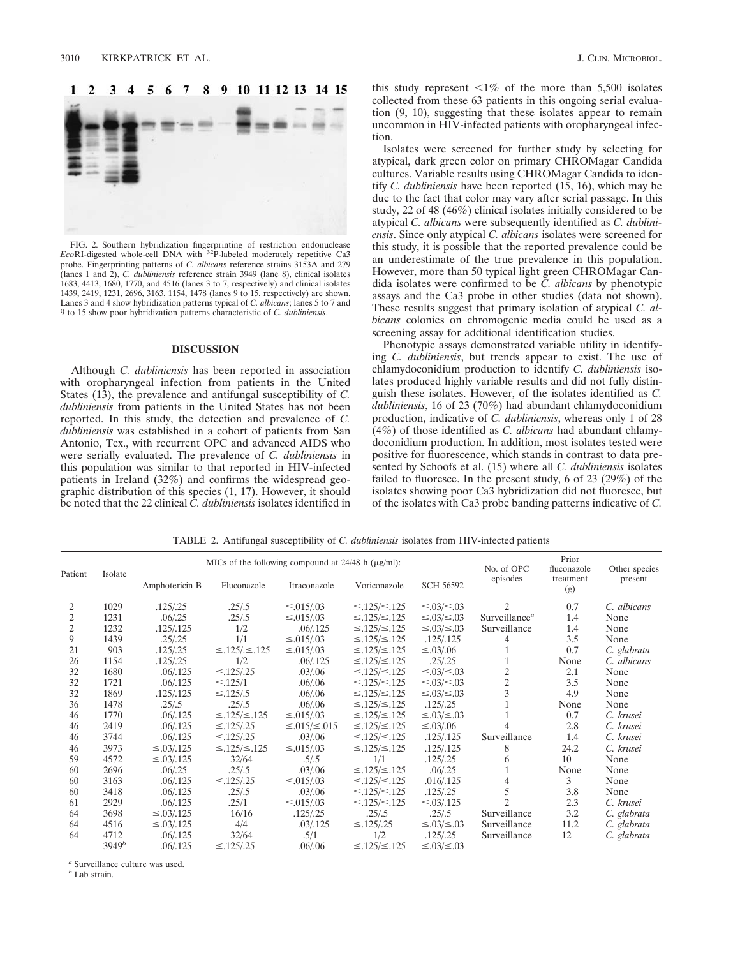### $\mathbf{2}$ 3  $\boldsymbol{\Delta}$ 9 10 11 12 13 14 15 1 5



FIG. 2. Southern hybridization fingerprinting of restriction endonuclease *Eco*RI-digested whole-cell DNA with 32P-labeled moderately repetitive Ca3 probe. Fingerprinting patterns of *C. albicans* reference strains 3153A and 279 (lanes 1 and 2), *C. dubliniensis* reference strain 3949 (lane 8), clinical isolates 1683, 4413, 1680, 1770, and 4516 (lanes 3 to 7, respectively) and clinical isolates 1439, 2419, 1231, 2696, 3163, 1154, 1478 (lanes 9 to 15, respectively) are shown. Lanes 3 and 4 show hybridization patterns typical of *C. albicans*; lanes 5 to 7 and 9 to 15 show poor hybridization patterns characteristic of *C. dubliniensis*.

## **DISCUSSION**

Although *C. dubliniensis* has been reported in association with oropharyngeal infection from patients in the United States (13), the prevalence and antifungal susceptibility of *C. dubliniensis* from patients in the United States has not been reported. In this study, the detection and prevalence of *C. dubliniensis* was established in a cohort of patients from San Antonio, Tex., with recurrent OPC and advanced AIDS who were serially evaluated. The prevalence of *C. dubliniensis* in this population was similar to that reported in HIV-infected patients in Ireland (32%) and confirms the widespread geographic distribution of this species (1, 17). However, it should be noted that the 22 clinical *C. dubliniensis* isolates identified in

this study represent  $\leq 1\%$  of the more than 5,500 isolates collected from these 63 patients in this ongoing serial evaluation (9, 10), suggesting that these isolates appear to remain uncommon in HIV-infected patients with oropharyngeal infection.

Isolates were screened for further study by selecting for atypical, dark green color on primary CHROMagar Candida cultures. Variable results using CHROMagar Candida to identify *C. dubliniensis* have been reported (15, 16), which may be due to the fact that color may vary after serial passage. In this study, 22 of 48 (46%) clinical isolates initially considered to be atypical *C. albicans* were subsequently identified as *C. dubliniensis*. Since only atypical *C. albicans* isolates were screened for this study, it is possible that the reported prevalence could be an underestimate of the true prevalence in this population. However, more than 50 typical light green CHROMagar Candida isolates were confirmed to be *C. albicans* by phenotypic assays and the Ca3 probe in other studies (data not shown). These results suggest that primary isolation of atypical *C. albicans* colonies on chromogenic media could be used as a screening assay for additional identification studies.

Phenotypic assays demonstrated variable utility in identifying *C. dubliniensis*, but trends appear to exist. The use of chlamydoconidium production to identify *C. dubliniensis* isolates produced highly variable results and did not fully distinguish these isolates. However, of the isolates identified as *C. dubliniensis*, 16 of 23 (70%) had abundant chlamydoconidium production, indicative of *C. dubliniensis*, whereas only 1 of 28 (4%) of those identified as *C. albicans* had abundant chlamydoconidium production. In addition, most isolates tested were positive for fluorescence, which stands in contrast to data presented by Schoofs et al. (15) where all *C. dubliniensis* isolates failed to fluoresce. In the present study, 6 of 23 (29%) of the isolates showing poor Ca3 hybridization did not fluoresce, but of the isolates with Ca3 probe banding patterns indicative of *C.*

TABLE 2. Antifungal susceptibility of *C. dubliniensis* isolates from HIV-infected patients

| Patient        | Isolate  | MICs of the following compound at $24/48$ h ( $\mu$ g/ml): |                           |                          |                          |                   | No. of OPC                | Prior<br>fluconazole | Other species |
|----------------|----------|------------------------------------------------------------|---------------------------|--------------------------|--------------------------|-------------------|---------------------------|----------------------|---------------|
|                |          | Amphotericin B                                             | Fluconazole               | Itraconazole             | Voriconazole             | <b>SCH 56592</b>  | episodes                  | treatment<br>(g)     | present       |
| 2              | 1029     | .125/.25                                                   | .25/.5                    | $\leq 0.015/0.03$        | $\leq$ .125/ $\leq$ .125 | ≤.03/≤.03         | $\mathfrak{D}$            | 0.7                  | C. albicans   |
| 2              | 1231     | .06/0.25                                                   | .25/.5                    | $\leq 0.015/0.03$        | $\leq$ .125/ $\leq$ .125 | ≤.03/≤.03         | Surveillance <sup>a</sup> | 1.4                  | None          |
| $\overline{c}$ | 1232     | .125/.125                                                  | 1/2                       | .06/0.125                | $\leq$ .125/ $\leq$ .125 | ≤.03/≤.03         | Surveillance              | 1.4                  | None          |
| 9              | 1439     | .25/.25                                                    | 1/1                       | $\leq 0.015/0.03$        | $\leq$ .125/ $\leq$ .125 | .125/0.125        | 4                         | 3.5                  | None          |
| 21             | 903      | .125/.25                                                   | $\leq$ .125/. $\leq$ .125 | $\leq 0.015/0.03$        | $\leq$ .125/ $\leq$ .125 | $\leq 0.03/0.06$  |                           | 0.7                  | C. glabrata   |
| 26             | 1154     | .125/.25                                                   | 1/2                       | .06/0.125                | $\leq$ .125/ $\leq$ .125 | .25/.25           |                           | None                 | C. albicans   |
| 32             | 1680     | .06/0.125                                                  | $\leq$ .125/.25           | .03/0.06                 | $\leq$ .125/ $\leq$ .125 | ≤.03/≤.03         | $\overline{c}$            | 2.1                  | None          |
| 32             | 1721     | .06/.125                                                   | $\leq$ .125/1             | .06/0.06                 | $\leq$ .125/ $\leq$ .125 | ≤.03/≤.03         | $\overline{c}$            | 3.5                  | None          |
| 32             | 1869     | .125/.125                                                  | $\leq$ .125/.5            | .06/0.06                 | $\leq$ .125/ $\leq$ .125 | ≤.03/≤.03         | $\overline{3}$            | 4.9                  | None          |
| 36             | 1478     | .25/0.5                                                    | .25/0.5                   | .06/0.06                 | $\leq$ .125/ $\leq$ .125 | .125/0.25         |                           | None                 | None          |
| 46             | 1770     | .06/.125                                                   | $\leq$ .125/ $\leq$ .125  | $\leq 0.015/0.03$        | $\leq$ .125/ $\leq$ .125 | ≤.03/≤.03         |                           | 0.7                  | C. krusei     |
| 46             | 2419     | .06/0.125                                                  | $\leq$ .125/.25           | $\leq$ .015/ $\leq$ .015 | $\leq$ .125/ $\leq$ .125 | $\leq 0.03/0.06$  | 4                         | 2.8                  | C. krusei     |
| 46             | 3744     | .06 / .125                                                 | $\leq$ .125/.25           | .03/0.06                 | $\leq$ .125/ $\leq$ .125 | .125/.125         | Surveillance              | 1.4                  | C. krusei     |
| 46             | 3973     | $\leq 0.03 / 125$                                          | $\leq$ .125/ $\leq$ .125  | $\leq 0.015/0.03$        | $\leq$ .125/ $\leq$ .125 | .125/.125         | 8                         | 24.2                 | C. krusei     |
| 59             | 4572     | $\leq 0.03 / 125$                                          | 32/64                     | .5/.5                    | 1/1                      | .125/.25          | 6                         | 10                   | None          |
| 60             | 2696     | .06/0.25                                                   | .25/.5                    | .03/0.06                 | $\leq$ .125/ $\leq$ .125 | .06/0.25          |                           | None                 | None          |
| 60             | 3163     | .06/0.125                                                  | $\leq$ .125/.25           | $\leq 0.015/0.03$        | $\leq$ .125/ $\leq$ .125 | .016/0.125        |                           | 3                    | None          |
| 60             | 3418     | .06/0.125                                                  | .25/.5                    | .03/0.06                 | $\leq$ .125/ $\leq$ .125 | .125/.25          | 5                         | 3.8                  | None          |
| 61             | 2929     | .06/.125                                                   | .25/1                     | $\leq 0.015/0.03$        | $\leq$ .125/ $\leq$ .125 | $\leq 0.03 / 125$ | $\overline{c}$            | 2.3                  | C. krusei     |
| 64             | 3698     | $\leq 0.03 / 125$                                          | 16/16                     | .125/.25                 | .25/0.5                  | .25/0.5           | Surveillance              | 3.2                  | C. glabrata   |
| 64             | 4516     | $\leq 0.03 / 125$                                          | 4/4                       | .03/.125                 | $\leq$ .125/.25          | ≤.03/≤.03         | Surveillance              | 11.2                 | C. glabrata   |
| 64             | 4712     | .06/0.125                                                  | 32/64                     | .5/1                     | 1/2                      | .125/.25          | Surveillance              | 12                   | C. glabrata   |
|                | $3949^b$ | .06/.125                                                   | $\leq$ .125/.25           | .06/0.06                 | $\leq$ .125/ $\leq$ .125 | ≤.03/≤.03         |                           |                      |               |
|                |          |                                                            |                           |                          |                          |                   |                           |                      |               |

*<sup>a</sup>* Surveillance culture was used.

*<sup>b</sup>* Lab strain.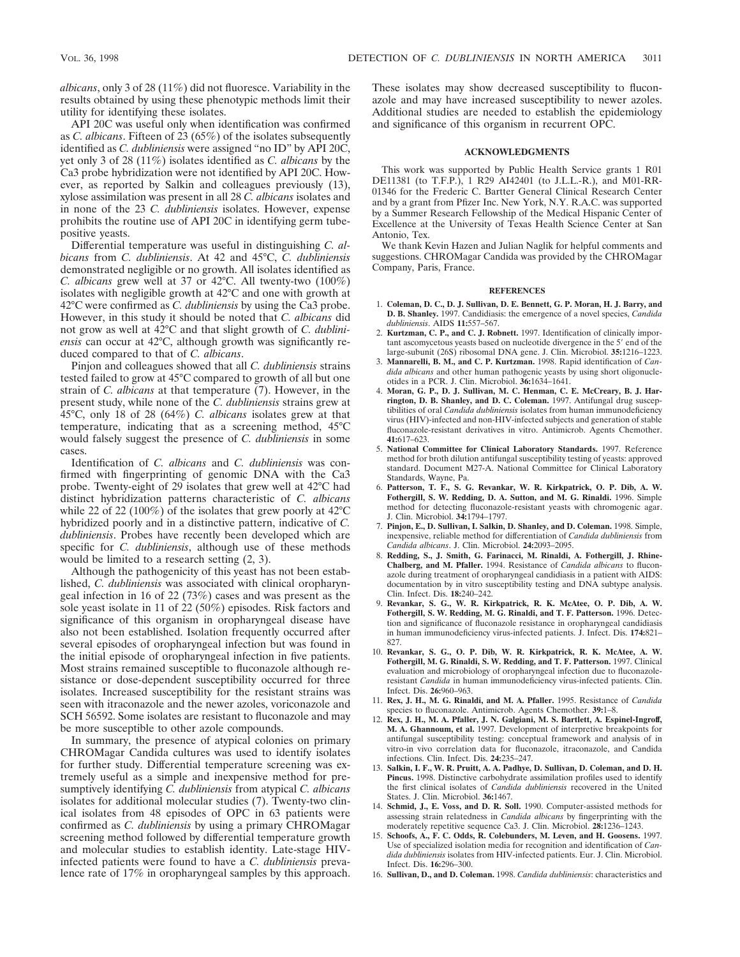*albicans*, only 3 of 28 (11%) did not fluoresce. Variability in the results obtained by using these phenotypic methods limit their utility for identifying these isolates.

API 20C was useful only when identification was confirmed as *C. albicans*. Fifteen of 23 (65%) of the isolates subsequently identified as *C. dubliniensis* were assigned "no ID" by API 20C, yet only 3 of 28 (11%) isolates identified as *C. albicans* by the Ca3 probe hybridization were not identified by API 20C. However, as reported by Salkin and colleagues previously (13), xylose assimilation was present in all 28 *C. albicans* isolates and in none of the 23 *C. dubliniensis* isolates. However, expense prohibits the routine use of API 20C in identifying germ tubepositive yeasts.

Differential temperature was useful in distinguishing *C. albicans* from *C. dubliniensis*. At 42 and 45°C, *C. dubliniensis* demonstrated negligible or no growth. All isolates identified as *C. albicans* grew well at 37 or 42°C. All twenty-two (100%) isolates with negligible growth at 42°C and one with growth at 42°C were confirmed as *C. dubliniensis* by using the Ca3 probe. However, in this study it should be noted that *C. albicans* did not grow as well at 42°C and that slight growth of *C. dubliniensis* can occur at 42°C, although growth was significantly reduced compared to that of *C. albicans*.

Pinjon and colleagues showed that all *C. dubliniensis* strains tested failed to grow at 45°C compared to growth of all but one strain of *C. albicans* at that temperature (7). However, in the present study, while none of the *C. dubliniensis* strains grew at 45°C, only 18 of 28 (64%) *C. albicans* isolates grew at that temperature, indicating that as a screening method, 45°C would falsely suggest the presence of *C. dubliniensis* in some cases.

Identification of *C. albicans* and *C. dubliniensis* was confirmed with fingerprinting of genomic DNA with the Ca3 probe. Twenty-eight of 29 isolates that grew well at 42°C had distinct hybridization patterns characteristic of *C. albicans* while 22 of 22 (100%) of the isolates that grew poorly at 42°C hybridized poorly and in a distinctive pattern, indicative of *C. dubliniensis*. Probes have recently been developed which are specific for *C. dubliniensis*, although use of these methods would be limited to a research setting (2, 3).

Although the pathogenicity of this yeast has not been established, *C. dubliniensis* was associated with clinical oropharyngeal infection in 16 of 22 (73%) cases and was present as the sole yeast isolate in 11 of 22 (50%) episodes. Risk factors and significance of this organism in oropharyngeal disease have also not been established. Isolation frequently occurred after several episodes of oropharyngeal infection but was found in the initial episode of oropharyngeal infection in five patients. Most strains remained susceptible to fluconazole although resistance or dose-dependent susceptibility occurred for three isolates. Increased susceptibility for the resistant strains was seen with itraconazole and the newer azoles, voriconazole and SCH 56592. Some isolates are resistant to fluconazole and may be more susceptible to other azole compounds.

In summary, the presence of atypical colonies on primary CHROMagar Candida cultures was used to identify isolates for further study. Differential temperature screening was extremely useful as a simple and inexpensive method for presumptively identifying *C. dubliniensis* from atypical *C. albicans* isolates for additional molecular studies (7). Twenty-two clinical isolates from 48 episodes of OPC in 63 patients were confirmed as *C. dubliniensis* by using a primary CHROMagar screening method followed by differential temperature growth and molecular studies to establish identity. Late-stage HIVinfected patients were found to have a *C. dubliniensis* prevalence rate of 17% in oropharyngeal samples by this approach. These isolates may show decreased susceptibility to fluconazole and may have increased susceptibility to newer azoles. Additional studies are needed to establish the epidemiology and significance of this organism in recurrent OPC.

# **ACKNOWLEDGMENTS**

This work was supported by Public Health Service grants 1 R01 DE11381 (to T.F.P.), 1 R29 AI42401 (to J.L.L.-R.), and M01-RR-01346 for the Frederic C. Bartter General Clinical Research Center and by a grant from Pfizer Inc. New York, N.Y. R.A.C. was supported by a Summer Research Fellowship of the Medical Hispanic Center of Excellence at the University of Texas Health Science Center at San Antonio, Tex.

We thank Kevin Hazen and Julian Naglik for helpful comments and suggestions. CHROMagar Candida was provided by the CHROMagar Company, Paris, France.

## **REFERENCES**

- 1. **Coleman, D. C., D. J. Sullivan, D. E. Bennett, G. P. Moran, H. J. Barry, and D. B. Shanley.** 1997. Candidiasis: the emergence of a novel species, *Candida dubliniensis*. AIDS **11:**557–567.
- 2. **Kurtzman, C. P., and C. J. Robnett.** 1997. Identification of clinically important ascomycetous yeasts based on nucleotide divergence in the  $5'$  end of the large-subunit (26S) ribosomal DNA gene. J. Clin. Microbiol. **35:**1216–1223.
- 3. **Mannarelli, B. M., and C. P. Kurtzman.** 1998. Rapid identification of *Candida albicans* and other human pathogenic yeasts by using short oligonucleotides in a PCR. J. Clin. Microbiol. **36:**1634–1641.
- 4. **Moran, G. P., D. J. Sullivan, M. C. Henman, C. E. McCreary, B. J. Harrington, D. B. Shanley, and D. C. Coleman.** 1997. Antifungal drug susceptibilities of oral *Candida dubliniensis* isolates from human immunodeficiency virus (HIV)-infected and non-HIV-infected subjects and generation of stable fluconazole-resistant derivatives in vitro. Antimicrob. Agents Chemother. **41:**617–623.
- 5. **National Committee for Clinical Laboratory Standards.** 1997. Reference method for broth dilution antifungal susceptibility testing of yeasts: approved standard. Document M27-A. National Committee for Clinical Laboratory Standards, Wayne, Pa.
- 6. **Patterson, T. F., S. G. Revankar, W. R. Kirkpatrick, O. P. Dib, A. W. Fothergill, S. W. Redding, D. A. Sutton, and M. G. Rinaldi.** 1996. Simple method for detecting fluconazole-resistant yeasts with chromogenic agar. J. Clin. Microbiol. **34:**1794–1797.
- 7. **Pinjon, E., D. Sullivan, I. Salkin, D. Shanley, and D. Coleman.** 1998. Simple, inexpensive, reliable method for differentiation of *Candida dubliniensis* from *Candida albicans*. J. Clin. Microbiol. **24:**2093–2095.
- 8. **Redding, S., J. Smith, G. Farinacci, M. Rinaldi, A. Fothergill, J. Rhine-Chalberg, and M. Pfaller.** 1994. Resistance of *Candida albicans* to fluconazole during treatment of oropharyngeal candidiasis in a patient with AIDS: documentation by in vitro susceptibility testing and DNA subtype analysis. Clin. Infect. Dis. **18:**240–242.
- 9. **Revankar, S. G., W. R. Kirkpatrick, R. K. McAtee, O. P. Dib, A. W. Fothergill, S. W. Redding, M. G. Rinaldi, and T. F. Patterson.** 1996. Detection and significance of fluconazole resistance in oropharyngeal candidiasis in human immunodeficiency virus-infected patients. J. Infect. Dis. **174:**821– 827.
- 10. **Revankar, S. G., O. P. Dib, W. R. Kirkpatrick, R. K. McAtee, A. W. Fothergill, M. G. Rinaldi, S. W. Redding, and T. F. Patterson.** 1997. Clinical evaluation and microbiology of oropharyngeal infection due to fluconazoleresistant *Candida* in human immunodeficiency virus-infected patients. Clin. Infect. Dis. **26:**960–963.
- 11. **Rex, J. H., M. G. Rinaldi, and M. A. Pfaller.** 1995. Resistance of *Candida* species to fluconazole. Antimicrob. Agents Chemother. **39:**1–8.
- 12. **Rex, J. H., M. A. Pfaller, J. N. Galgiani, M. S. Bartlett, A. Espinel-Ingroff, M. A. Ghannoum, et al.** 1997. Development of interpretive breakpoints for antifungal susceptibility testing: conceptual framework and analysis of in vitro-in vivo correlation data for fluconazole, itraconazole, and Candida infections. Clin. Infect. Dis. **24:**235–247.
- 13. **Salkin, I. F., W. R. Pruitt, A. A. Padhye, D. Sullivan, D. Coleman, and D. H. Pincus.** 1998. Distinctive carbohydrate assimilation profiles used to identify the first clinical isolates of *Candida dubliniensis* recovered in the United States. J. Clin. Microbiol. **36:**1467.
- 14. **Schmid, J., E. Voss, and D. R. Soll.** 1990. Computer-assisted methods for assessing strain relatedness in *Candida albicans* by fingerprinting with the moderately repetitive sequence Ca3. J. Clin. Microbiol. **28:**1236–1243.
- 15. **Schoofs, A., F. C. Odds, R. Colebunders, M. Leven, and H. Goosens.** 1997. Use of specialized isolation media for recognition and identification of *Candida dubliniensis* isolates from HIV-infected patients. Eur. J. Clin. Microbiol. Infect. Dis. **16:**296–300.
- 16. **Sullivan, D., and D. Coleman.** 1998. *Candida dubliniensis*: characteristics and